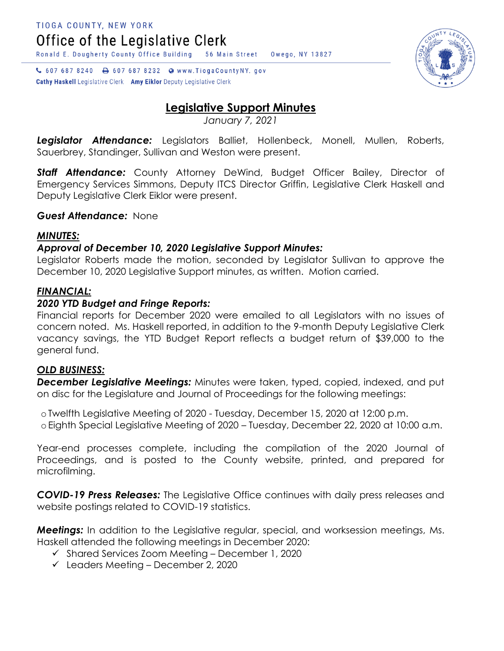Office of the Legislative Clerk

Ronald E. Dougherty County Office Building 56 Main Street Owego, NY 13827

C 607 687 8240 a 607 687 8232 a www.TiogaCountyNY.gov **Cathy Haskell** Legislative Clerk Amy Eiklor Deputy Legislative Clerk



# **Legislative Support Minutes**

*January 7, 2021*

*Legislator Attendance:* Legislators Balliet, Hollenbeck, Monell, Mullen, Roberts, Sauerbrey, Standinger, Sullivan and Weston were present.

*Staff Attendance:* County Attorney DeWind, Budget Officer Bailey, Director of Emergency Services Simmons, Deputy ITCS Director Griffin, Legislative Clerk Haskell and Deputy Legislative Clerk Eiklor were present.

## *Guest Attendance:* None

## *MINUTES:*

# *Approval of December 10, 2020 Legislative Support Minutes:*

Legislator Roberts made the motion, seconded by Legislator Sullivan to approve the December 10, 2020 Legislative Support minutes, as written. Motion carried.

## *FINANCIAL:*

# *2020 YTD Budget and Fringe Reports:*

Financial reports for December 2020 were emailed to all Legislators with no issues of concern noted. Ms. Haskell reported, in addition to the 9-month Deputy Legislative Clerk vacancy savings, the YTD Budget Report reflects a budget return of \$39,000 to the general fund.

#### *OLD BUSINESS:*

*December Legislative Meetings:* Minutes were taken, typed, copied, indexed, and put on disc for the Legislature and Journal of Proceedings for the following meetings:

o Twelfth Legislative Meeting of 2020 - Tuesday, December 15, 2020 at 12:00 p.m. o Eighth Special Legislative Meeting of 2020 – Tuesday, December 22, 2020 at 10:00 a.m.

Year-end processes complete, including the compilation of the 2020 Journal of Proceedings, and is posted to the County website, printed, and prepared for microfilming.

*COVID-19 Press Releases:* The Legislative Office continues with daily press releases and website postings related to COVID-19 statistics.

*Meetings:* In addition to the Legislative regular, special, and worksession meetings, Ms. Haskell attended the following meetings in December 2020:

- $\checkmark$  Shared Services Zoom Meeting December 1, 2020
- $\checkmark$  Leaders Meeting December 2, 2020